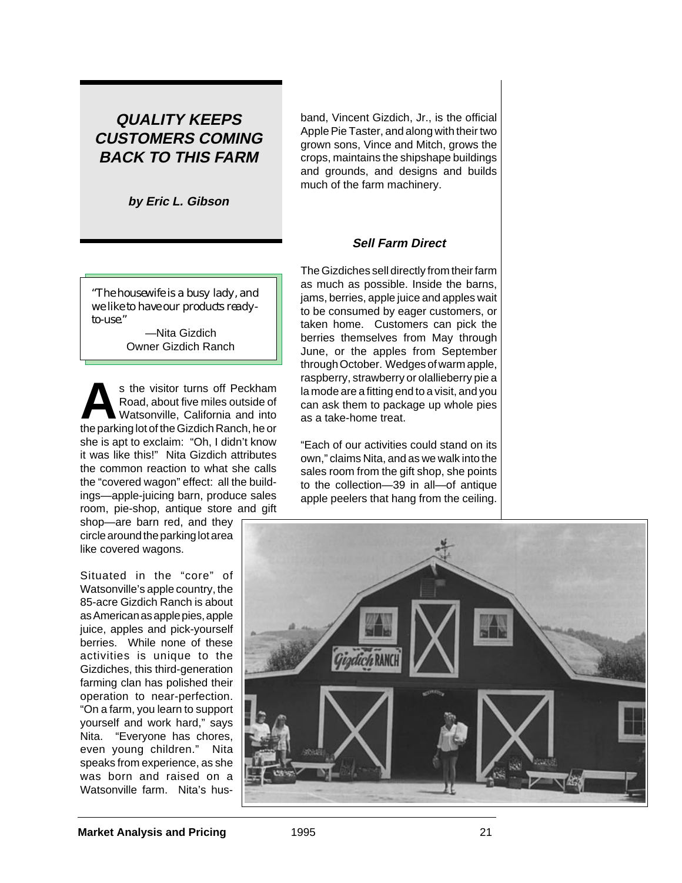# **QUALITY KEEPS CUSTOMERS COMING BACK TO THIS FARM**

**by Eric L. Gibson**

*"The housewife is a busy lady, and we like to have our products readyto-use."*

> —Nita Gizdich Owner Gizdich Ranch

s the visitor turns off Peckham<br>Road, about five miles outside of<br>Watsonville, California and into<br>the parking let of the Gizdich Banch he on Road, about five miles outside of Watsonville, California and into the parking lot of the Gizdich Ranch, he or she is apt to exclaim: "Oh, I didn't know it was like this!" Nita Gizdich attributes the common reaction to what she calls the "covered wagon" effect: all the buildings—apple-juicing barn, produce sales room, pie-shop, antique store and gift

shop—are barn red, and they circle around the parking lot area like covered wagons.

Situated in the "core" of Watsonville's apple country, the 85-acre Gizdich Ranch is about as American as apple pies, apple juice, apples and pick-yourself berries. While none of these activities is unique to the Gizdiches, this third-generation farming clan has polished their operation to near-perfection. "On a farm, you learn to support yourself and work hard," says Nita. "Everyone has chores, even young children." Nita speaks from experience, as she was born and raised on a Watsonville farm. Nita's husband, Vincent Gizdich, Jr., is the official Apple Pie Taster, and along with their two grown sons, Vince and Mitch, grows the crops, maintains the shipshape buildings and grounds, and designs and builds much of the farm machinery.

## **Sell Farm Direct**

The Gizdiches sell directly from their farm as much as possible. Inside the barns, jams, berries, apple juice and apples wait to be consumed by eager customers, or taken home. Customers can pick the berries themselves from May through June, or the apples from September through October. Wedges of warm apple, raspberry, strawberry or olallieberry pie a la mode are a fitting end to a visit, and you can ask them to package up whole pies as a take-home treat.

"Each of our activities could stand on its own," claims Nita, and as we walk into the sales room from the gift shop, she points to the collection—39 in all—of antique apple peelers that hang from the ceiling.

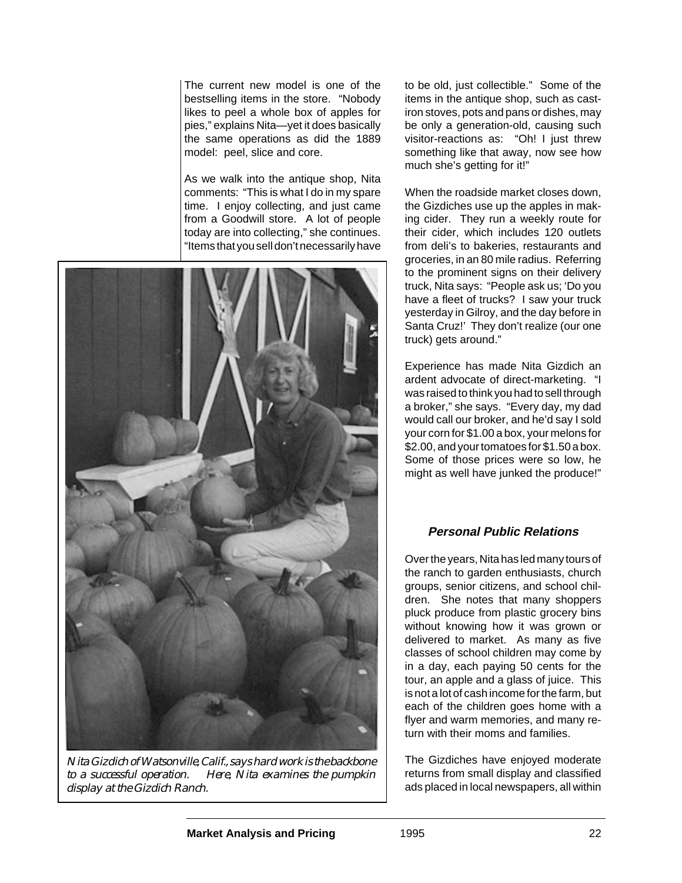The current new model is one of the bestselling items in the store. "Nobody likes to peel a whole box of apples for pies," explains Nita—yet it does basically the same operations as did the 1889 model: peel, slice and core.

As we walk into the antique shop, Nita comments: "This is what I do in my spare time. I enjoy collecting, and just came from a Goodwill store. A lot of people today are into collecting," she continues. "Items that you sell don't necessarily have



*Nita Gizdich of Watsonville, Calif., says hard work is the backbone to a successful operation. Here, Nita examines the pumpkin display at the Gizdich Ranch.*

to be old, just collectible." Some of the items in the antique shop, such as castiron stoves, pots and pans or dishes, may be only a generation-old, causing such visitor-reactions as: "Oh! I just threw something like that away, now see how much she's getting for it!"

When the roadside market closes down. the Gizdiches use up the apples in making cider. They run a weekly route for their cider, which includes 120 outlets from deli's to bakeries, restaurants and groceries, in an 80 mile radius. Referring to the prominent signs on their delivery truck, Nita says: "People ask us; 'Do you have a fleet of trucks? I saw your truck yesterday in Gilroy, and the day before in Santa Cruz!' They don't realize (our one truck) gets around."

Experience has made Nita Gizdich an ardent advocate of direct-marketing. "I was raised to think you had to sell through a broker," she says. "Every day, my dad would call our broker, and he'd say I sold your corn for \$1.00 a box, your melons for \$2.00, and your tomatoes for \$1.50 a box. Some of those prices were so low, he might as well have junked the produce!"

## **Personal Public Relations**

Over the years, Nita has led many tours of the ranch to garden enthusiasts, church groups, senior citizens, and school children. She notes that many shoppers pluck produce from plastic grocery bins without knowing how it was grown or delivered to market. As many as five classes of school children may come by in a day, each paying 50 cents for the tour, an apple and a glass of juice. This is not a lot of cash income for the farm, but each of the children goes home with a flyer and warm memories, and many return with their moms and families.

The Gizdiches have enjoyed moderate returns from small display and classified ads placed in local newspapers, all within